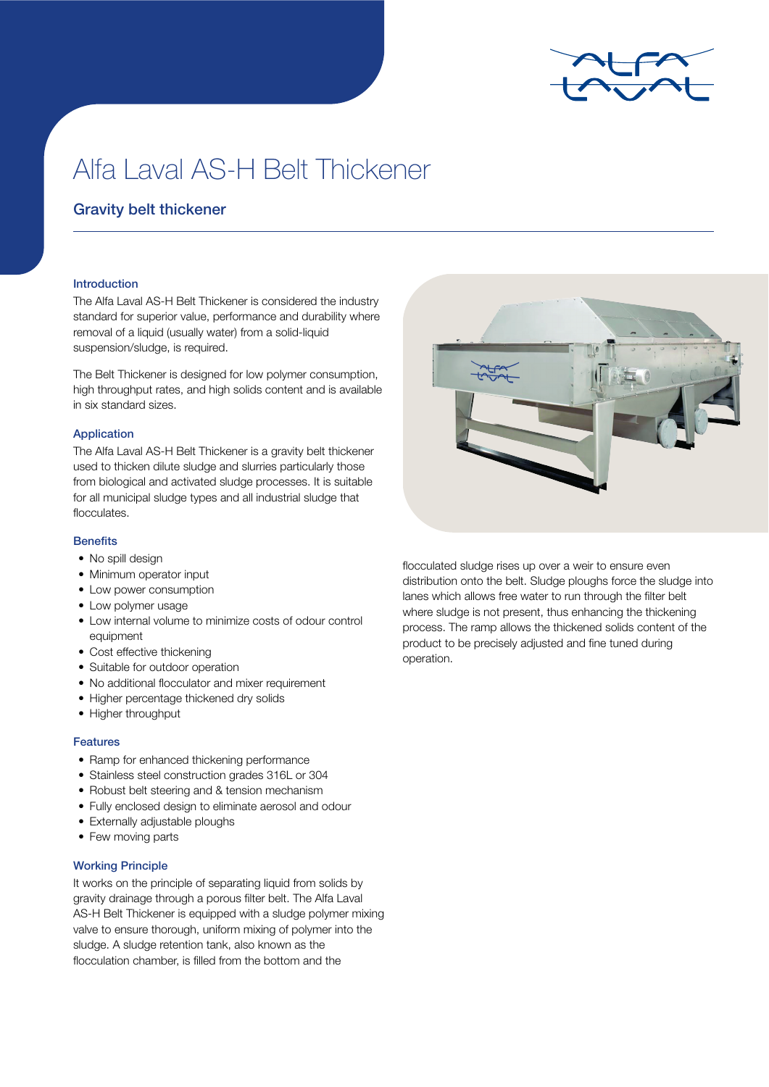

# Alfa Laval AS-H Belt Thickener

# Gravity belt thickener

### Introduction

The Alfa Laval AS-H Belt Thickener is considered the industry standard for superior value, performance and durability where removal of a liquid (usually water) from a solid-liquid suspension/sludge, is required.

The Belt Thickener is designed for low polymer consumption, high throughput rates, and high solids content and is available in six standard sizes.

#### Application

The Alfa Laval AS-H Belt Thickener is a gravity belt thickener used to thicken dilute sludge and slurries particularly those from biological and activated sludge processes. It is suitable for all municipal sludge types and all industrial sludge that flocculates.

#### **Benefits**

- No spill design
- Minimum operator input
- Low power consumption
- Low polymer usage
- Low internal volume to minimize costs of odour control equipment
- Cost effective thickening
- Suitable for outdoor operation
- No additional flocculator and mixer requirement
- Higher percentage thickened dry solids
- Higher throughput

#### Features

- Ramp for enhanced thickening performance
- Stainless steel construction grades 316L or 304
- Robust belt steering and & tension mechanism
- Fully enclosed design to eliminate aerosol and odour
- Externally adjustable ploughs
- Few moving parts

#### Working Principle

It works on the principle of separating liquid from solids by gravity drainage through a porous filter belt. The Alfa Laval AS-H Belt Thickener is equipped with a sludge polymer mixing valve to ensure thorough, uniform mixing of polymer into the sludge. A sludge retention tank, also known as the flocculation chamber, is filled from the bottom and the



flocculated sludge rises up over a weir to ensure even distribution onto the belt. Sludge ploughs force the sludge into lanes which allows free water to run through the filter belt where sludge is not present, thus enhancing the thickening process. The ramp allows the thickened solids content of the product to be precisely adjusted and fine tuned during operation.